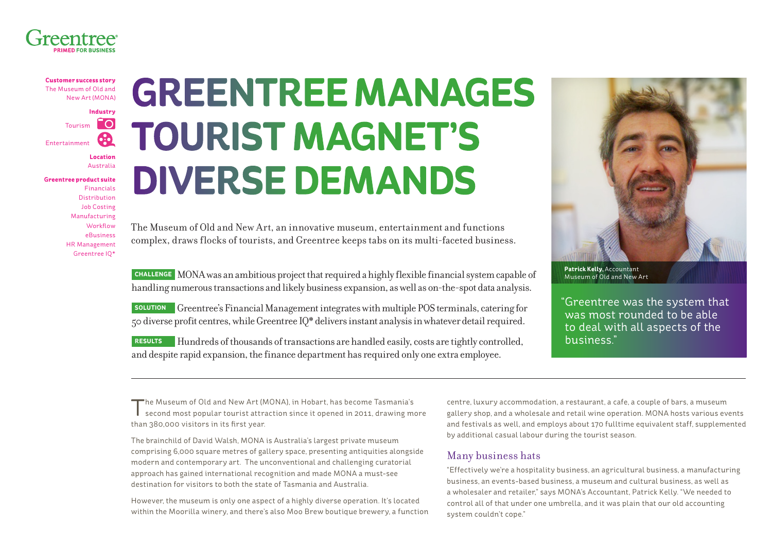

**Customer success story** The Museum of Old and New Art (MONA)

**Industry** I O Tourism 60 Entertainment

> **Location** Australia

**Greentree product suite** [Financials](http://www.greentree.com/greentree/financial_management/financial_management.cfm) [Distribution](http://www.greentree.com/greentree/supplychain_distribution/supplychain_distribution.cfm) [Job Costing](http://www.greentree.com/greentree/job_costing/job_cost.cfm) [Manufacturing](http://www.greentree.com/manufacturing) [Workflow](http://www.greentree.com/workflow/workflow) [eBusiness](http://www.greentree.com/ebusiness) [HR Management](http://www.greentree.com/human-resources-a-payroll) [Greentree IQ\\*](http://www.greentree.com/business-intelligence/greentree-iq)

# **GREENTREE MANAGES TOURIST MAGNET'S DIVERSE DEMANDS**

The Museum of Old and New Art, an innovative museum, entertainment and functions complex, draws flocks of tourists, and Greentree keeps tabs on its multi-faceted business.

**CHALLENGE** MONA was an ambitious project that required a highly flexible financial system capable of handling numerous transactions and likely business expansion, as well as on-the-spot data analysis.

**SOLUTION** Greentree's Financial Management integrates with multiple POS terminals, catering for 50 diverse profit centres, while Greentree IQ\* delivers instant analysis in whatever detail required.

**RESULTS** Hundreds of thousands of transactions are handled easily, costs are tightly controlled, and despite rapid expansion, the finance department has required only one extra employee.



**Patrick Kelly,** Accountant Museum of Old and New Art

"Greentree was the system that was most rounded to be able to deal with all aspects of the business."

The Museum of Old and New Art (MONA), in Hobart, has become Tasmania's second most popular tourist attraction since it opened in 2011, drawing more than 380,000 visitors in its first year.

The brainchild of David Walsh, MONA is Australia's largest private museum comprising 6,000 square metres of gallery space, presenting antiquities alongside modern and contemporary art. The unconventional and challenging curatorial approach has gained international recognition and made MONA a must-see destination for visitors to both the state of Tasmania and Australia.

However, the museum is only one aspect of a highly diverse operation. It's located within the Moorilla winery, and there's also Moo Brew boutique brewery, a function centre, luxury accommodation, a restaurant, a cafe, a couple of bars, a museum gallery shop, and a wholesale and retail wine operation. MONA hosts various events and festivals as well, and employs about 170 fulltime equivalent staff, supplemented by additional casual labour during the tourist season.

#### Many business hats

"Effectively we're a hospitality business, an agricultural business, a manufacturing business, an events-based business, a museum and cultural business, as well as a wholesaler and retailer," says MONA's Accountant, Patrick Kelly. "We needed to control all of that under one umbrella, and it was plain that our old accounting system couldn't cope."